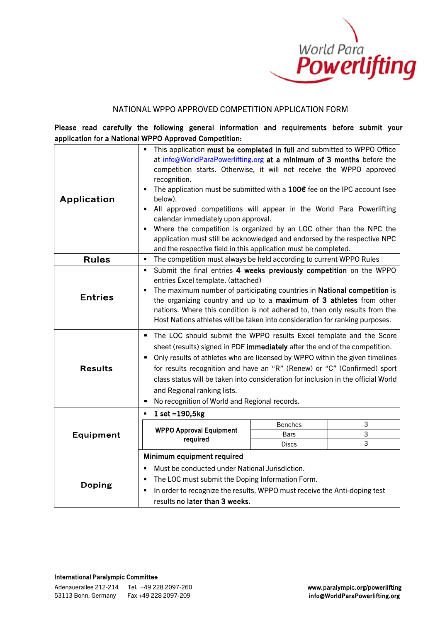

### NATIONAL WPPO APPROVED COMPETITION APPLICATION FORM

Please read carefully the following general information and requirements before submit your application for a National WPPO Approved Competition:

| Application    | This application must be completed in full and submitted to WPPO Office<br>at info@WorldParaPowerlifting.org at a minimum of 3 months before the<br>competition starts. Otherwise, it will not receive the WPPO approved<br>recognition.<br>The application must be submitted with a $100\epsilon$ fee on the IPC account (see<br>below).<br>All approved competitions will appear in the World Para Powerlifting<br>٠<br>calendar immediately upon approval.<br>Where the competition is organized by an LOC other than the NPC the<br>$\blacksquare$<br>application must still be acknowledged and endorsed by the respective NPC<br>and the respective field in this application must be completed. |                |   |
|----------------|--------------------------------------------------------------------------------------------------------------------------------------------------------------------------------------------------------------------------------------------------------------------------------------------------------------------------------------------------------------------------------------------------------------------------------------------------------------------------------------------------------------------------------------------------------------------------------------------------------------------------------------------------------------------------------------------------------|----------------|---|
| <b>Rules</b>   | The competition must always be held according to current WPPO Rules<br>$\blacksquare$                                                                                                                                                                                                                                                                                                                                                                                                                                                                                                                                                                                                                  |                |   |
| <b>Entries</b> | Submit the final entries 4 weeks previously competition on the WPPO<br>٠<br>entries Excel template. (attached)<br>The maximum number of participating countries in National competition is<br>the organizing country and up to a maximum of 3 athletes from other<br>nations. Where this condition is not adhered to, then only results from the<br>Host Nations athletes will be taken into consideration for ranking purposes.                                                                                                                                                                                                                                                                       |                |   |
| <b>Results</b> | The LOC should submit the WPPO results Excel template and the Score<br>sheet (results) signed in PDF immediately after the end of the competition.<br>Only results of athletes who are licensed by WPPO within the given timelines<br>for results recognition and have an "R" (Renew) or "C" (Confirmed) sport<br>class status will be taken into consideration for inclusion in the official World<br>and Regional ranking lists.<br>No recognition of World and Regional records.                                                                                                                                                                                                                    |                |   |
|                | $1 set = 190, 5kg$                                                                                                                                                                                                                                                                                                                                                                                                                                                                                                                                                                                                                                                                                     |                |   |
|                |                                                                                                                                                                                                                                                                                                                                                                                                                                                                                                                                                                                                                                                                                                        | <b>Benches</b> | 3 |
| Equipment      | <b>WPPO Approval Equipment</b><br>required                                                                                                                                                                                                                                                                                                                                                                                                                                                                                                                                                                                                                                                             | Bars           | 3 |
|                |                                                                                                                                                                                                                                                                                                                                                                                                                                                                                                                                                                                                                                                                                                        | <b>Discs</b>   | 3 |
|                | Minimum equipment required                                                                                                                                                                                                                                                                                                                                                                                                                                                                                                                                                                                                                                                                             |                |   |
|                | Must be conducted under National Jurisdiction.<br>$\blacksquare$                                                                                                                                                                                                                                                                                                                                                                                                                                                                                                                                                                                                                                       |                |   |
|                | The LOC must submit the Doping Information Form.<br>٠                                                                                                                                                                                                                                                                                                                                                                                                                                                                                                                                                                                                                                                  |                |   |
| Doping         | In order to recognize the results, WPPO must receive the Anti-doping test<br>$\blacksquare$                                                                                                                                                                                                                                                                                                                                                                                                                                                                                                                                                                                                            |                |   |
|                | results no later than 3 weeks.                                                                                                                                                                                                                                                                                                                                                                                                                                                                                                                                                                                                                                                                         |                |   |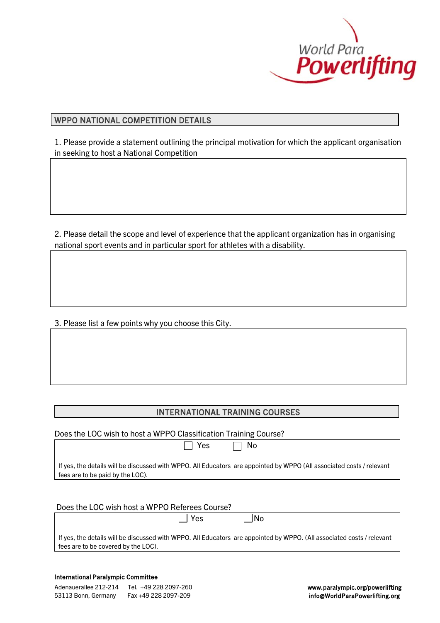

# WPPO NATIONAL COMPETITION DETAILS

L

1. Please provide a statement outlining the principal motivation for which the applicant organisation in seeking to host a National Competition

2. Please detail the scope and level of experience that the applicant organization has in organising national sport events and in particular sport for athletes with a disability.

3. Please list a few points why you choose this City.

# INTERNATIONAL TRAINING COURSES

| Does the LOC wish to host a WPPO Classification Training Course?                                                                                            |
|-------------------------------------------------------------------------------------------------------------------------------------------------------------|
| Yes<br>No.                                                                                                                                                  |
| If yes, the details will be discussed with WPPO. All Educators are appointed by WPPO (All associated costs/relevant<br>fees are to be paid by the LOC).     |
|                                                                                                                                                             |
| Does the LOC wish host a WPPO Referees Course?                                                                                                              |
| Yes<br>No.                                                                                                                                                  |
| If yes, the details will be discussed with WPPO. All Educators are appointed by WPPO. (All associated costs/relevant<br>fees are to be covered by the LOC). |

| Adenauerallee 212-214 | Tel.  +49 228 2097-260 |
|-----------------------|------------------------|
| 53113 Bonn, Germany   | Fax +49 228 2097-209   |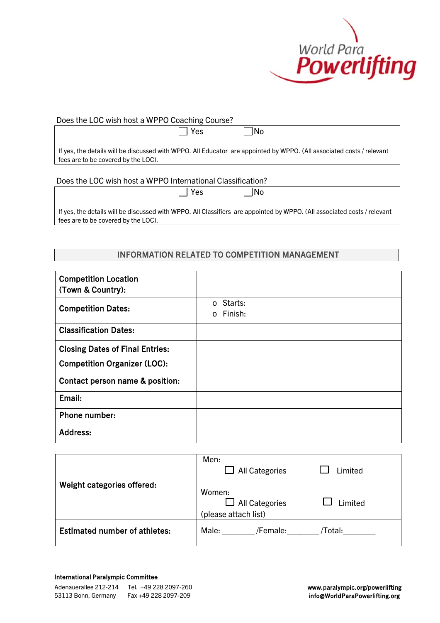

## Does the LOC wish host a WPPO Coaching Course?

No North Daniel Daniel Daniel Daniel Daniel Daniel Daniel Daniel Daniel Daniel D

If yes, the details will be discussed with WPPO. All Educator are appointed by WPPO. (All associated costs / relevant fees are to be covered by the LOC).

Does the LOC wish host a WPPO International Classification?

| $\Box$ Yes |  | $\Box$ No |
|------------|--|-----------|
|------------|--|-----------|

If yes, the details will be discussed with WPPO. All Classifiers are appointed by WPPO. (All associated costs / relevant fees are to be covered by the LOC).

#### ı INFORMATION RELATED TO COMPETITION MANAGEMENT

| <b>Competition Location</b><br>(Town & Country): |                                        |
|--------------------------------------------------|----------------------------------------|
| <b>Competition Dates:</b>                        | Starts:<br>$\Omega$<br>$\circ$ Finish: |
| <b>Classification Dates:</b>                     |                                        |
| <b>Closing Dates of Final Entries:</b>           |                                        |
| <b>Competition Organizer (LOC):</b>              |                                        |
| Contact person name & position:                  |                                        |
| Email:                                           |                                        |
| Phone number:                                    |                                        |
| <b>Address:</b>                                  |                                        |

|                                      | Men:<br><b>All Categories</b>                           | Limited |
|--------------------------------------|---------------------------------------------------------|---------|
| Weight categories offered:           | Women:<br>$\Box$ All Categories<br>(please attach list) | Limited |
| <b>Estimated number of athletes:</b> | Male:<br>/Female:                                       | /Total: |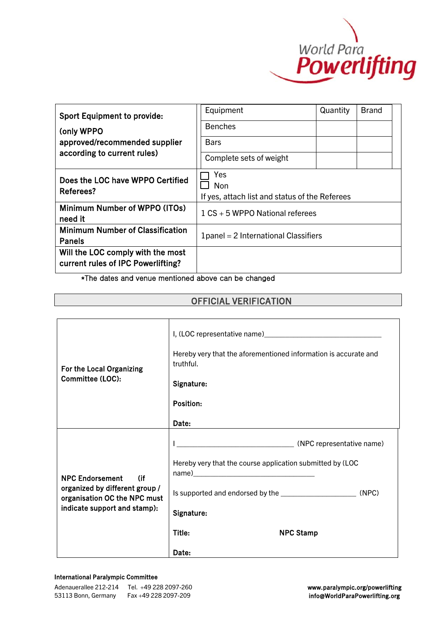

| <b>Sport Equipment to provide:</b><br>(only WPPO<br>approved/recommended supplier<br>according to current rules) | Equipment<br><b>Benches</b><br><b>Bars</b><br>Complete sets of weight | Quantity | <b>Brand</b> |
|------------------------------------------------------------------------------------------------------------------|-----------------------------------------------------------------------|----------|--------------|
| Does the LOC have WPPO Certified<br>Referees?                                                                    | Yes<br>Non<br>If yes, attach list and status of the Referees          |          |              |
| Minimum Number of WPPO (ITOs)<br>need it                                                                         | $1 CS + 5 W$ PPO National referees                                    |          |              |
| <b>Minimum Number of Classification</b><br><b>Panels</b>                                                         | 1 panel = 2 International Classifiers                                 |          |              |
| Will the LOC comply with the most<br>current rules of IPC Powerlifting?                                          |                                                                       |          |              |

\*The dates and venue mentioned above can be changed

# OFFICIAL VERIFICATION

| For the Local Organizing<br>Committee (LOC):                                                                                    | Hereby very that the aforementioned information is accurate and |
|---------------------------------------------------------------------------------------------------------------------------------|-----------------------------------------------------------------|
|                                                                                                                                 | truthful.                                                       |
|                                                                                                                                 | Signature:                                                      |
|                                                                                                                                 | Position:                                                       |
|                                                                                                                                 | Date:                                                           |
| <b>NPC Endorsement</b><br>(if<br>organized by different group /<br>organisation OC the NPC must<br>indicate support and stamp): | (NPC representative name)                                       |
|                                                                                                                                 | Hereby very that the course application submitted by (LOC       |
|                                                                                                                                 | (NPC)                                                           |
|                                                                                                                                 | Signature:                                                      |
|                                                                                                                                 | Title:<br><b>NPC Stamp</b>                                      |
|                                                                                                                                 | Date:                                                           |